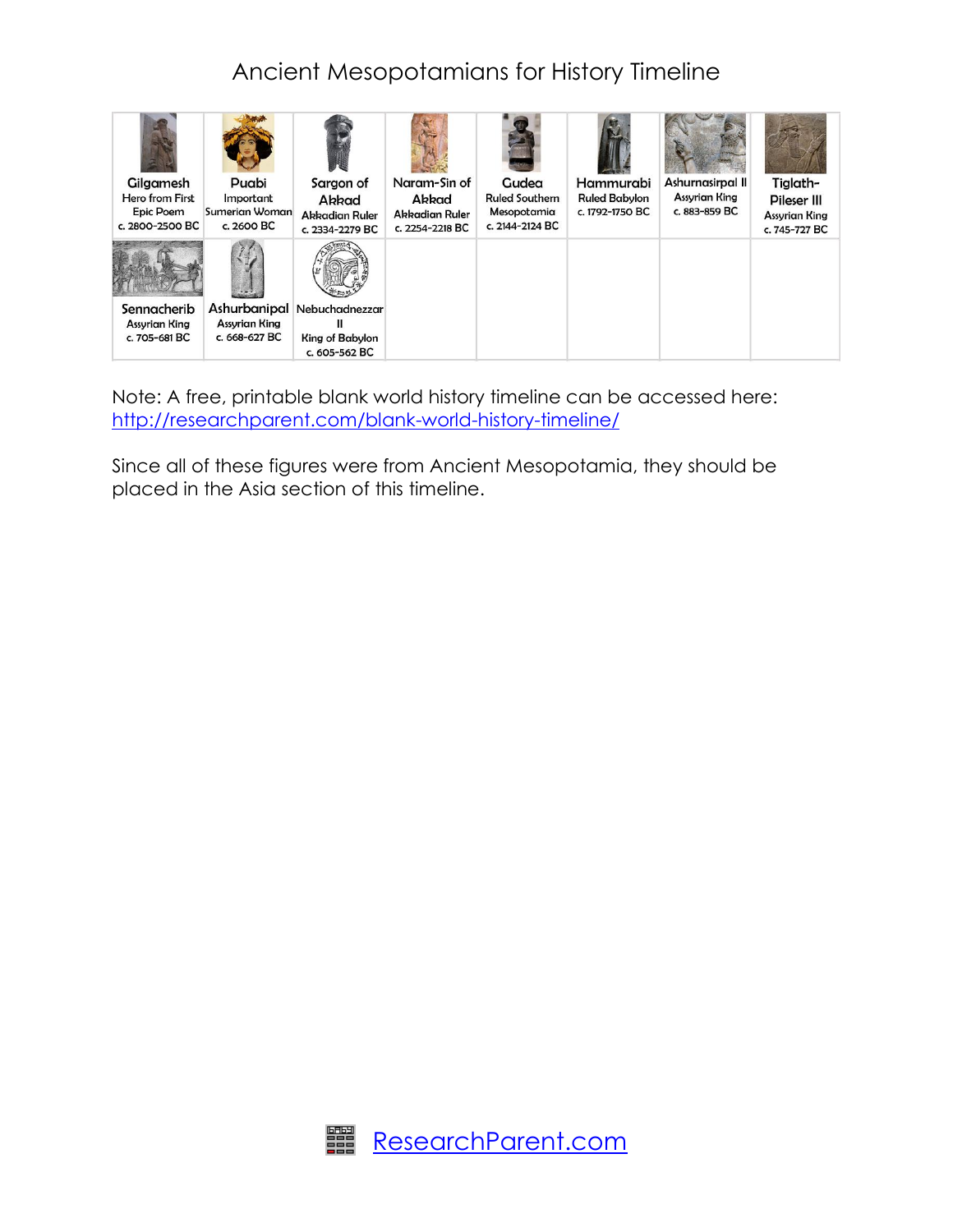## Ancient Mesopotamians for History Timeline



Note: A free, printable blank world history timeline can be accessed here: <http://researchparent.com/blank-world-history-timeline/>

Since all of these figures were from Ancient Mesopotamia, they should be placed in the Asia section of this timeline.

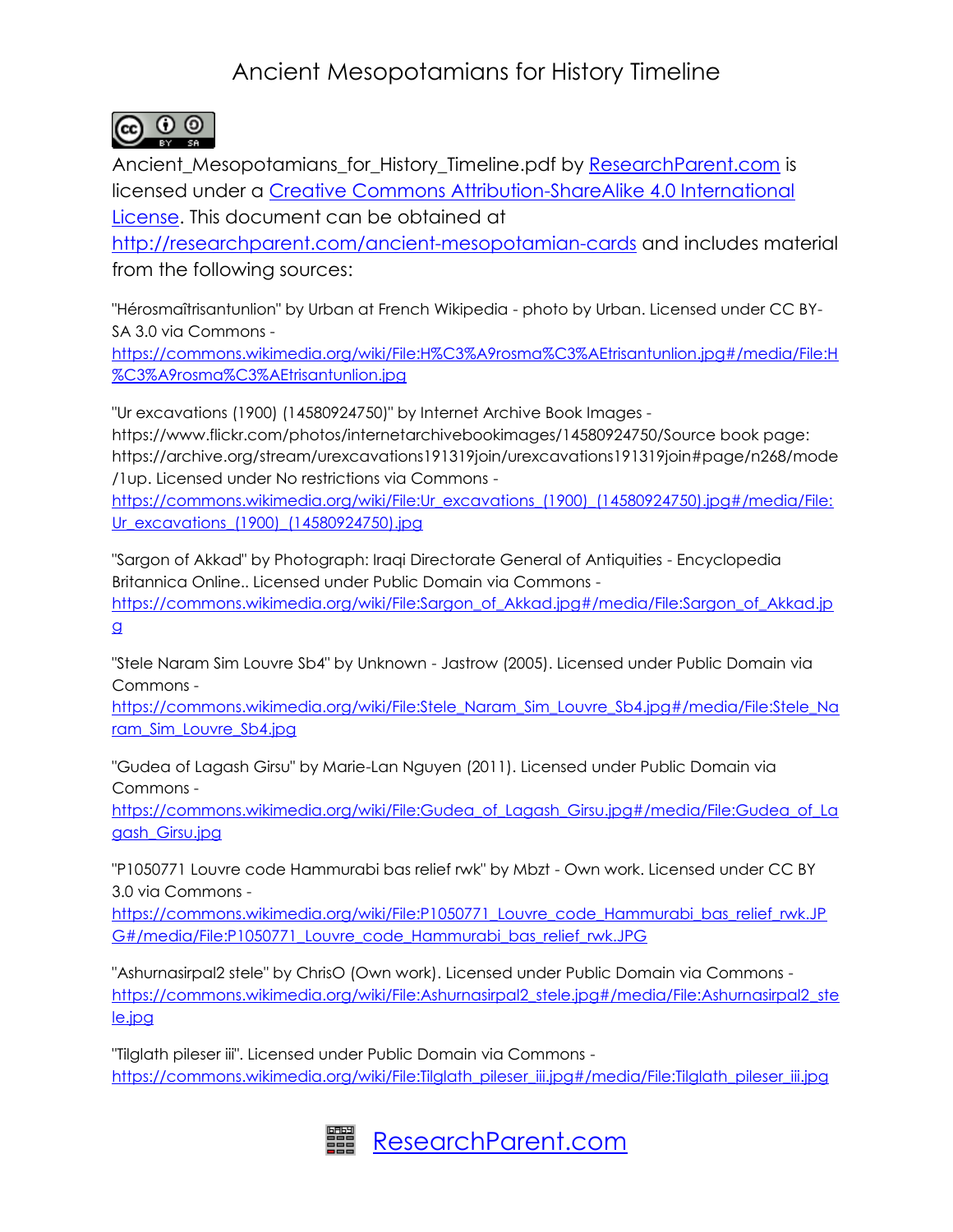## Ancient Mesopotamians for History Timeline



Ancient\_Mesopotamians\_for\_History\_Timeline.pdf by [ResearchParent.com](http://researchparent.com/) is licensed under a [Creative Commons Attribution-ShareAlike 4.0 International](http://creativecommons.org/licenses/by-sa/4.0/)  [License.](http://creativecommons.org/licenses/by-sa/4.0/) This document can be obtained at

<http://researchparent.com/ancient-mesopotamian-cards> and includes material from the following sources:

"Hérosmaîtrisantunlion" by Urban at French Wikipedia - photo by Urban. Licensed under CC BY-SA 3.0 via Commons -

[https://commons.wikimedia.org/wiki/File:H%C3%A9rosma%C3%AEtrisantunlion.jpg#/media/File:H](https://commons.wikimedia.org/wiki/File:H%C3%A9rosma%C3%AEtrisantunlion.jpg#/media/File:H%C3%A9rosma%C3%AEtrisantunlion.jpg) [%C3%A9rosma%C3%AEtrisantunlion.jpg](https://commons.wikimedia.org/wiki/File:H%C3%A9rosma%C3%AEtrisantunlion.jpg#/media/File:H%C3%A9rosma%C3%AEtrisantunlion.jpg)

"Ur excavations (1900) (14580924750)" by Internet Archive Book Images -

https://www.flickr.com/photos/internetarchivebookimages/14580924750/Source book page: https://archive.org/stream/urexcavations191319join/urexcavations191319join#page/n268/mode /1up. Licensed under No restrictions via Commons -

[https://commons.wikimedia.org/wiki/File:Ur\\_excavations\\_\(1900\)\\_\(14580924750\).jpg#/media/File:](https://commons.wikimedia.org/wiki/File:Ur_excavations_(1900)_(14580924750).jpg#/media/File:Ur_excavations_(1900)_(14580924750).jpg) [Ur\\_excavations\\_\(1900\)\\_\(14580924750\).jpg](https://commons.wikimedia.org/wiki/File:Ur_excavations_(1900)_(14580924750).jpg#/media/File:Ur_excavations_(1900)_(14580924750).jpg)

"Sargon of Akkad" by Photograph: Iraqi Directorate General of Antiquities - Encyclopedia Britannica Online.. Licensed under Public Domain via Commons -

[https://commons.wikimedia.org/wiki/File:Sargon\\_of\\_Akkad.jpg#/media/File:Sargon\\_of\\_Akkad.jp](https://commons.wikimedia.org/wiki/File:Sargon_of_Akkad.jpg#/media/File:Sargon_of_Akkad.jpg) [g](https://commons.wikimedia.org/wiki/File:Sargon_of_Akkad.jpg#/media/File:Sargon_of_Akkad.jpg)

"Stele Naram Sim Louvre Sb4" by Unknown - Jastrow (2005). Licensed under Public Domain via Commons -

[https://commons.wikimedia.org/wiki/File:Stele\\_Naram\\_Sim\\_Louvre\\_Sb4.jpg#/media/File:Stele\\_Na](https://commons.wikimedia.org/wiki/File:Stele_Naram_Sim_Louvre_Sb4.jpg#/media/File:Stele_Naram_Sim_Louvre_Sb4.jpg) [ram\\_Sim\\_Louvre\\_Sb4.jpg](https://commons.wikimedia.org/wiki/File:Stele_Naram_Sim_Louvre_Sb4.jpg#/media/File:Stele_Naram_Sim_Louvre_Sb4.jpg)

"Gudea of Lagash Girsu" by Marie-Lan Nguyen (2011). Licensed under Public Domain via Commons -

[https://commons.wikimedia.org/wiki/File:Gudea\\_of\\_Lagash\\_Girsu.jpg#/media/File:Gudea\\_of\\_La](https://commons.wikimedia.org/wiki/File:Gudea_of_Lagash_Girsu.jpg#/media/File:Gudea_of_Lagash_Girsu.jpg) [gash\\_Girsu.jpg](https://commons.wikimedia.org/wiki/File:Gudea_of_Lagash_Girsu.jpg#/media/File:Gudea_of_Lagash_Girsu.jpg)

"P1050771 Louvre code Hammurabi bas relief rwk" by Mbzt - Own work. Licensed under CC BY 3.0 via Commons -

[https://commons.wikimedia.org/wiki/File:P1050771\\_Louvre\\_code\\_Hammurabi\\_bas\\_relief\\_rwk.JP](https://commons.wikimedia.org/wiki/File:P1050771_Louvre_code_Hammurabi_bas_relief_rwk.JPG#/media/File:P1050771_Louvre_code_Hammurabi_bas_relief_rwk.JPG) [G#/media/File:P1050771\\_Louvre\\_code\\_Hammurabi\\_bas\\_relief\\_rwk.JPG](https://commons.wikimedia.org/wiki/File:P1050771_Louvre_code_Hammurabi_bas_relief_rwk.JPG#/media/File:P1050771_Louvre_code_Hammurabi_bas_relief_rwk.JPG)

"Ashurnasirpal2 stele" by ChrisO (Own work). Licensed under Public Domain via Commons [https://commons.wikimedia.org/wiki/File:Ashurnasirpal2\\_stele.jpg#/media/File:Ashurnasirpal2\\_ste](https://commons.wikimedia.org/wiki/File:Ashurnasirpal2_stele.jpg#/media/File:Ashurnasirpal2_stele.jpg) [le.jpg](https://commons.wikimedia.org/wiki/File:Ashurnasirpal2_stele.jpg#/media/File:Ashurnasirpal2_stele.jpg)

"Tilglath pileser iii". Licensed under Public Domain via Commons [https://commons.wikimedia.org/wiki/File:Tilglath\\_pileser\\_iii.jpg#/media/File:Tilglath\\_pileser\\_iii.jpg](https://commons.wikimedia.org/wiki/File:Tilglath_pileser_iii.jpg#/media/File:Tilglath_pileser_iii.jpg)